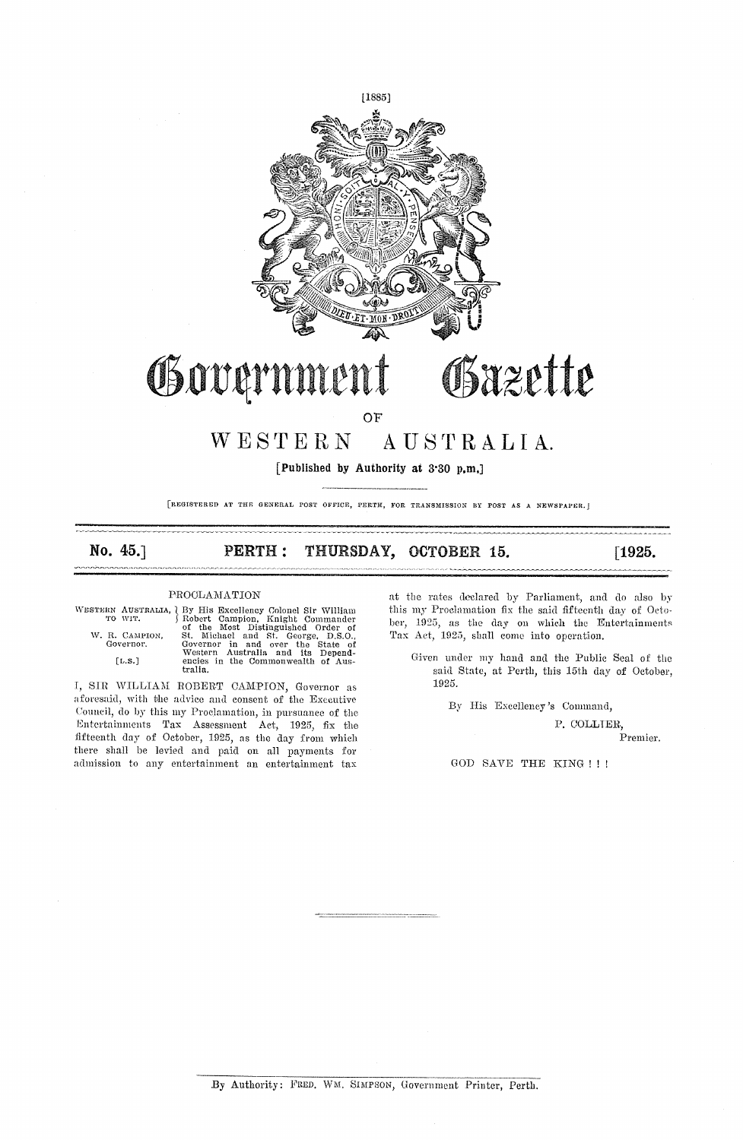

[Published by Authority at 3.30 p.m.]

[REGISTERED AT THE GENERAL POST OFFICE, PERTH, FOR TRANSMISSION BY POST AS A NEWSPAPER.]

## THURSDAY, OCTOBER 15. No.  $45.1$ **PERTH:**  $[1925]$

## PROCLAMATION

WESTERN .

|           | STERN AUSTRALIA, <a>&gt;</a> { By His Excellency Colonel Sir William TO WIT. <a></a> { Robert Campion, Knight Commander |
|-----------|-------------------------------------------------------------------------------------------------------------------------|
|           | of the Most Distinguished Order of                                                                                      |
|           | W. R. CAMPION, St. Michael and St. George. D.S.O                                                                        |
| Governor. | Governor in and over the State of                                                                                       |
|           | Western Australia and its Depend-                                                                                       |
| [L.S.]    | encies in the Commonwealth of Aus-<br>tralia.                                                                           |

I, SIR WILLIAM ROBERT CAMPION, Governor as aforesaid, with the advice and consent of the Executive Council, do by this my Proclamation, in pursuance of the Entertainments Tax Assessment Act, 1925, fix the fifteenth day of October, 1925, as the day from which there shall be levied and paid on all payments for admission to any entertainment an entertainment tax

at the rates declared by Parliament, and do also by this my Proclamation fix the said fifteenth day of October, 1925, as the day on which the Entertainments Tax Act, 1925, shall come into operation.

Given under my hand and the Public Seal of the said State, at Perth, this 15th day of October, 1925.

By His Excellency's Command,

P. COLLIER. Premier.

GOD SAVE THE KING !!!

By Authority: FRED. WM. SIMPSON, Government Printer, Perth.